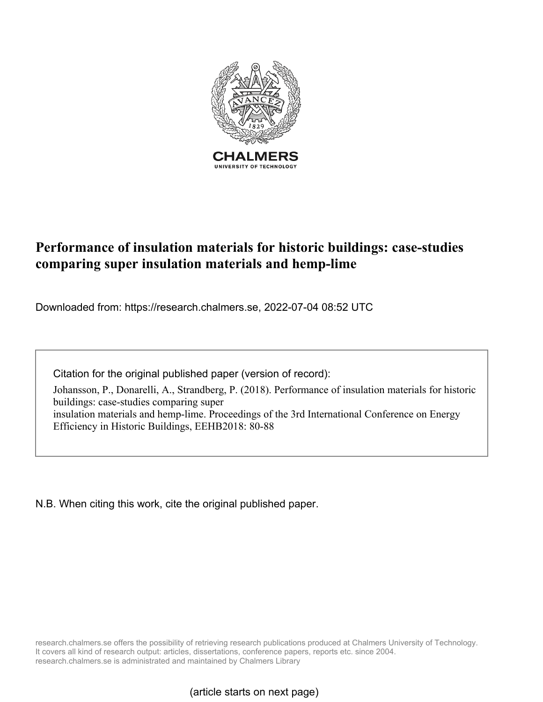

# **Performance of insulation materials for historic buildings: case-studies comparing super insulation materials and hemp-lime**

Downloaded from: https://research.chalmers.se, 2022-07-04 08:52 UTC

Citation for the original published paper (version of record):

Johansson, P., Donarelli, A., Strandberg, P. (2018). Performance of insulation materials for historic buildings: case-studies comparing super insulation materials and hemp-lime. Proceedings of the 3rd International Conference on Energy Efficiency in Historic Buildings, EEHB2018: 80-88

N.B. When citing this work, cite the original published paper.

research.chalmers.se offers the possibility of retrieving research publications produced at Chalmers University of Technology. It covers all kind of research output: articles, dissertations, conference papers, reports etc. since 2004. research.chalmers.se is administrated and maintained by Chalmers Library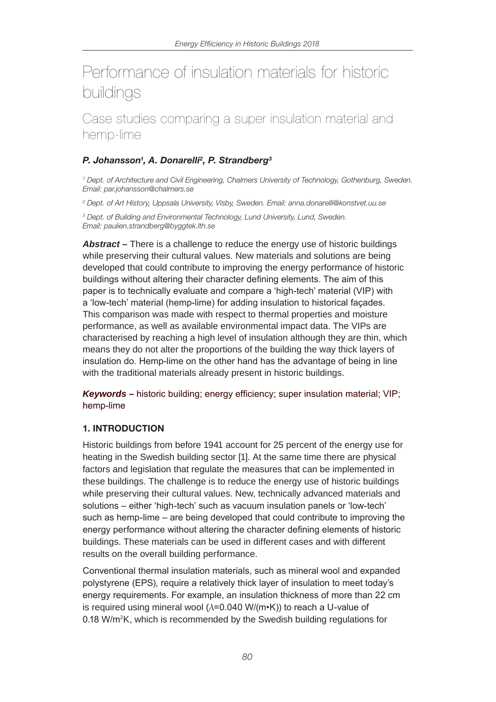# Performance of insulation materials for historic buildings

Case studies comparing a super insulation material and hemp-lime

# *P. Johansson1 , A. Donarelli2, P. Strandberg3*

*1 Dept. of Architecture and Civil Engineering, Chalmers University of Technology, Gothenburg, Sweden. Email: par.johansson@chalmers.se*

*2 Dept. of Art History, Uppsala University, Visby, Sweden. Email: anna.donarelli@konstvet.uu.se*

*3 Dept. of Building and Environmental Technology, Lund University, Lund, Sweden. Email: paulien.strandberg@byggtek.lth.se*

*Abstract –* There is a challenge to reduce the energy use of historic buildings while preserving their cultural values. New materials and solutions are being developed that could contribute to improving the energy performance of historic buildings without altering their character defining elements. The aim of this paper is to technically evaluate and compare a 'high-tech' material (VIP) with a 'low-tech' material (hemp-lime) for adding insulation to historical façades. This comparison was made with respect to thermal properties and moisture performance, as well as available environmental impact data. The VIPs are characterised by reaching a high level of insulation although they are thin, which means they do not alter the proportions of the building the way thick layers of insulation do. Hemp-lime on the other hand has the advantage of being in line with the traditional materials already present in historic buildings.

*Keywords –* historic building; energy efficiency; super insulation material; VIP; hemp-lime

# 1. INTRODUCTION

Historic buildings from before 1941 account for 25 percent of the energy use for heating in the Swedish building sector [1]. At the same time there are physical factors and legislation that regulate the measures that can be implemented in these buildings. The challenge is to reduce the energy use of historic buildings while preserving their cultural values. New, technically advanced materials and solutions – either 'high-tech' such as vacuum insulation panels or 'low-tech' such as hemp-lime – are being developed that could contribute to improving the energy performance without altering the character defining elements of historic buildings. These materials can be used in different cases and with different results on the overall building performance.

Conventional thermal insulation materials, such as mineral wool and expanded polystyrene (EPS), require a relatively thick layer of insulation to meet today's energy requirements. For example, an insulation thickness of more than 22 cm is required using mineral wool ( $\lambda$ =0.040 W/(m•K)) to reach a U-value of 0.18 W/m2K, which is recommended by the Swedish building regulations for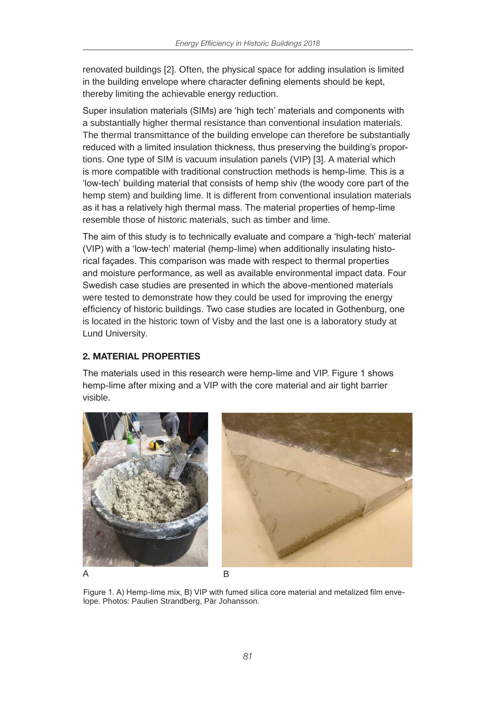renovated buildings [2]. Often, the physical space for adding insulation is limited in the building envelope where character defining elements should be kept, thereby limiting the achievable energy reduction.

Super insulation materials (SIMs) are 'high tech' materials and components with a substantially higher thermal resistance than conventional insulation materials. The thermal transmittance of the building envelope can therefore be substantially reduced with a limited insulation thickness, thus preserving the building's proportions. One type of SIM is vacuum insulation panels (VIP) [3]. A material which is more compatible with traditional construction methods is hemp-lime. This is a 'low-tech' building material that consists of hemp shiv (the woody core part of the hemp stem) and building lime. It is different from conventional insulation materials as it has a relatively high thermal mass. The material properties of hemp-lime resemble those of historic materials, such as timber and lime.

The aim of this study is to technically evaluate and compare a 'high-tech' material (VIP) with a 'low-tech' material (hemp-lime) when additionally insulating historical façades. This comparison was made with respect to thermal properties and moisture performance, as well as available environmental impact data. Four Swedish case studies are presented in which the above-mentioned materials were tested to demonstrate how they could be used for improving the energy efficiency of historic buildings. Two case studies are located in Gothenburg, one is located in the historic town of Visby and the last one is a laboratory study at Lund University.

# 2. MATERIAL PROPERTIES

The materials used in this research were hemp-lime and VIP. Figure 1 shows hemp-lime after mixing and a VIP with the core material and air tight barrier visible.



Figure 1. A) Hemp-lime mix, B) VIP with fumed silica core material and metalized film envelope. Photos: Paulien Strandberg, Pär Johansson.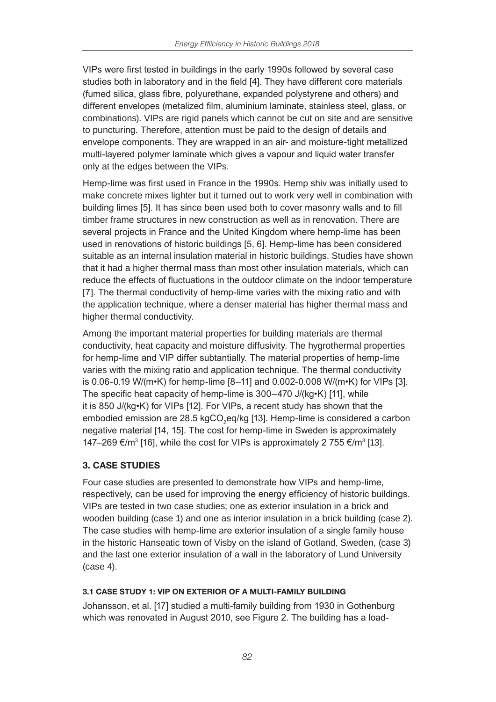VIPs were first tested in buildings in the early 1990s followed by several case studies both in laboratory and in the field [4]. They have different core materials (fumed silica, glass fibre, polyurethane, expanded polystyrene and others) and different envelopes (metalized film, aluminium laminate, stainless steel, glass, or combinations). VIPs are rigid panels which cannot be cut on site and are sensitive to puncturing. Therefore, attention must be paid to the design of details and envelope components. They are wrapped in an air- and moisture-tight metallized multi-layered polymer laminate which gives a vapour and liquid water transfer only at the edges between the VIPs.

Hemp-lime was first used in France in the 1990s. Hemp shiv was initially used to make concrete mixes lighter but it turned out to work very well in combination with building limes [5]. It has since been used both to cover masonry walls and to fill timber frame structures in new construction as well as in renovation. There are several projects in France and the United Kingdom where hemp-lime has been used in renovations of historic buildings [5, 6]. Hemp-lime has been considered suitable as an internal insulation material in historic buildings. Studies have shown that it had a higher thermal mass than most other insulation materials, which can reduce the effects of fluctuations in the outdoor climate on the indoor temperature [7]. The thermal conductivity of hemp-lime varies with the mixing ratio and with the application technique, where a denser material has higher thermal mass and higher thermal conductivity.

Among the important material properties for building materials are thermal conductivity, heat capacity and moisture diffusivity. The hygrothermal properties for hemp-lime and VIP differ subtantially. The material properties of hemp-lime varies with the mixing ratio and application technique. The thermal conductivity is 0.06-0.19 W/(m•K) for hemp-lime [8–11] and 0.002-0.008 W/(m•K) for VIPs [3]. The specific heat capacity of hemp-lime is 300–470 J/(kg•K) [11], while it is 850 J/(kg•K) for VIPs [12]. For VIPs, a recent study has shown that the embodied emission are 28.5 kgCO<sub>2</sub>eq/kg [13]. Hemp-lime is considered a carbon negative material [14, 15]. The cost for hemp-lime in Sweden is approximately 147–269 €/m<sup>3</sup> [16], while the cost for VIPs is approximately 2 755 €/m<sup>3</sup> [13].

# 3. CASE STUDIES

Four case studies are presented to demonstrate how VIPs and hemp-lime, respectively, can be used for improving the energy efficiency of historic buildings. VIPs are tested in two case studies; one as exterior insulation in a brick and wooden building (case 1) and one as interior insulation in a brick building (case 2). The case studies with hemp-lime are exterior insulation of a single family house in the historic Hanseatic town of Visby on the island of Gotland, Sweden, (case 3) and the last one exterior insulation of a wall in the laboratory of Lund University (case 4).

#### 3.1 CASE STUDY 1: VIP ON EXTERIOR OF A MULTI-FAMILY BUILDING

Johansson, et al. [17] studied a multi-family building from 1930 in Gothenburg which was renovated in August 2010, see Figure 2. The building has a load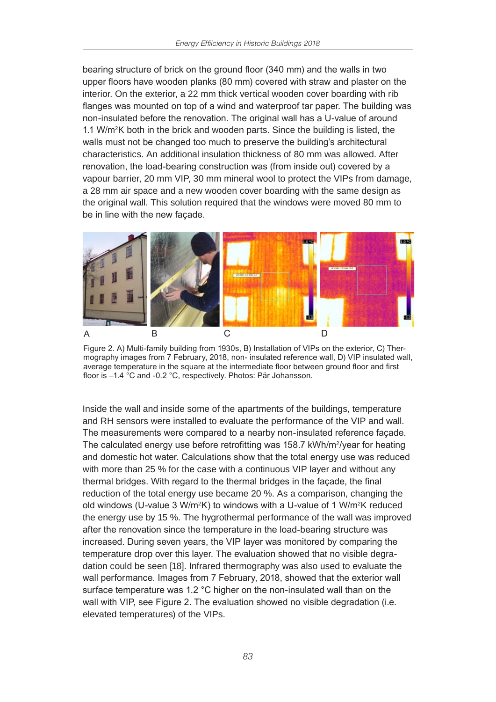bearing structure of brick on the ground floor (340 mm) and the walls in two upper floors have wooden planks (80 mm) covered with straw and plaster on the interior. On the exterior, a 22 mm thick vertical wooden cover boarding with rib flanges was mounted on top of a wind and waterproof tar paper. The building was non-insulated before the renovation. The original wall has a U-value of around 1.1 W/m2K both in the brick and wooden parts. Since the building is listed, the walls must not be changed too much to preserve the building's architectural characteristics. An additional insulation thickness of 80 mm was allowed. After renovation, the load-bearing construction was (from inside out) covered by a vapour barrier, 20 mm VIP, 30 mm mineral wool to protect the VIPs from damage, a 28 mm air space and a new wooden cover boarding with the same design as the original wall. This solution required that the windows were moved 80 mm to be in line with the new façade.



Figure 2. A) Multi-family building from 1930s, B) Installation of VIPs on the exterior, C) Thermography images from 7 February, 2018, non- insulated reference wall, D) VIP insulated wall, average temperature in the square at the intermediate floor between ground floor and first floor is –1.4 °C and -0.2 °C, respectively. Photos: Pär Johansson.

Inside the wall and inside some of the apartments of the buildings, temperature and RH sensors were installed to evaluate the performance of the VIP and wall. The measurements were compared to a nearby non-insulated reference façade. The calculated energy use before retrofitting was  $158.7$  kWh/m<sup>2</sup>/year for heating and domestic hot water. Calculations show that the total energy use was reduced with more than 25 % for the case with a continuous VIP layer and without any thermal bridges. With regard to the thermal bridges in the façade, the final reduction of the total energy use became 20 %. As a comparison, changing the old windows (U-value 3 W/m<sup>2</sup>K) to windows with a U-value of 1 W/m<sup>2</sup>K reduced the energy use by 15 %. The hygrothermal performance of the wall was improved after the renovation since the temperature in the load-bearing structure was increased. During seven years, the VIP layer was monitored by comparing the temperature drop over this layer. The evaluation showed that no visible degradation could be seen [18]. Infrared thermography was also used to evaluate the wall performance. Images from 7 February, 2018, showed that the exterior wall surface temperature was 1.2 °C higher on the non-insulated wall than on the wall with VIP, see Figure 2. The evaluation showed no visible degradation (i.e. elevated temperatures) of the VIPs.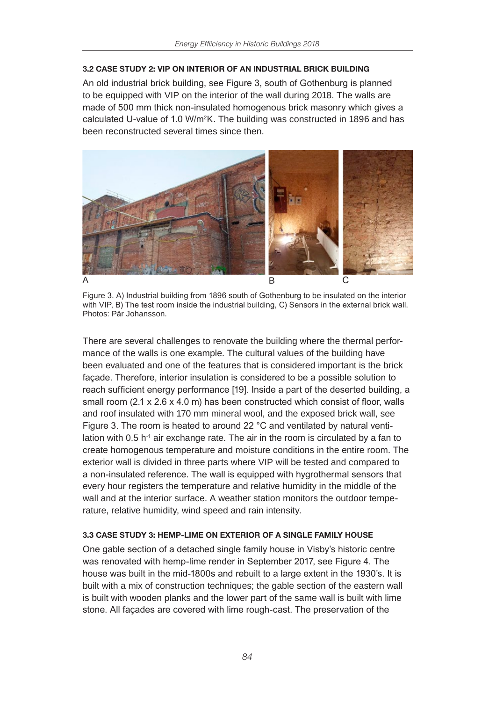#### 3.2 CASE STUDY 2: VIP ON INTERIOR OF AN INDUSTRIAL BRICK BUILDING

An old industrial brick building, see Figure 3, south of Gothenburg is planned to be equipped with VIP on the interior of the wall during 2018. The walls are made of 500 mm thick non-insulated homogenous brick masonry which gives a calculated U-value of 1.0 W/m2K. The building was constructed in 1896 and has been reconstructed several times since then.



Figure 3. A) Industrial building from 1896 south of Gothenburg to be insulated on the interior with VIP, B) The test room inside the industrial building, C) Sensors in the external brick wall. Photos: Pär Johansson.

There are several challenges to renovate the building where the thermal performance of the walls is one example. The cultural values of the building have been evaluated and one of the features that is considered important is the brick façade. Therefore, interior insulation is considered to be a possible solution to reach sufficient energy performance [19]. Inside a part of the deserted building, a small room (2.1 x 2.6 x 4.0 m) has been constructed which consist of floor, walls and roof insulated with 170 mm mineral wool, and the exposed brick wall, see Figure 3. The room is heated to around 22 °C and ventilated by natural ventilation with  $0.5$  h<sup>-1</sup> air exchange rate. The air in the room is circulated by a fan to create homogenous temperature and moisture conditions in the entire room. The exterior wall is divided in three parts where VIP will be tested and compared to a non-insulated reference. The wall is equipped with hygrothermal sensors that every hour registers the temperature and relative humidity in the middle of the wall and at the interior surface. A weather station monitors the outdoor temperature, relative humidity, wind speed and rain intensity.

#### 3.3 CASE STUDY 3: HEMP-LIME ON EXTERIOR OF A SINGLE FAMILY HOUSE

One gable section of a detached single family house in Visby's historic centre was renovated with hemp-lime render in September 2017, see Figure 4. The house was built in the mid-1800s and rebuilt to a large extent in the 1930's. It is built with a mix of construction techniques; the gable section of the eastern wall is built with wooden planks and the lower part of the same wall is built with lime stone. All façades are covered with lime rough-cast. The preservation of the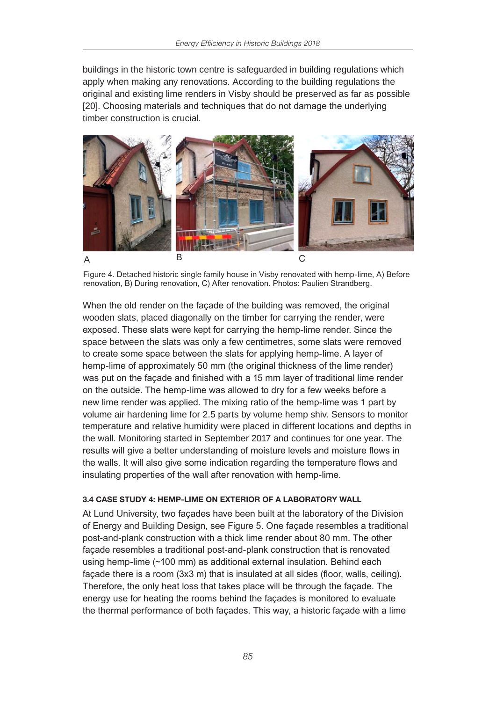buildings in the historic town centre is safeguarded in building regulations which apply when making any renovations. According to the building regulations the original and existing lime renders in Visby should be preserved as far as possible [20]. Choosing materials and techniques that do not damage the underlying timber construction is crucial.



Figure 4. Detached historic single family house in Visby renovated with hemp-lime, A) Before renovation, B) During renovation, C) After renovation. Photos: Paulien Strandberg.

When the old render on the façade of the building was removed, the original wooden slats, placed diagonally on the timber for carrying the render, were exposed. These slats were kept for carrying the hemp-lime render. Since the space between the slats was only a few centimetres, some slats were removed to create some space between the slats for applying hemp-lime. A layer of hemp-lime of approximately 50 mm (the original thickness of the lime render) was put on the façade and finished with a 15 mm layer of traditional lime render on the outside. The hemp-lime was allowed to dry for a few weeks before a new lime render was applied. The mixing ratio of the hemp-lime was 1 part by volume air hardening lime for 2.5 parts by volume hemp shiv. Sensors to monitor temperature and relative humidity were placed in different locations and depths in the wall. Monitoring started in September 2017 and continues for one year. The results will give a better understanding of moisture levels and moisture flows in the walls. It will also give some indication regarding the temperature flows and insulating properties of the wall after renovation with hemp-lime.

#### 3.4 CASE STUDY 4: HEMP-LIME ON EXTERIOR OF A LABORATORY WALL

At Lund University, two façades have been built at the laboratory of the Division of Energy and Building Design, see Figure 5. One façade resembles a traditional post-and-plank construction with a thick lime render about 80 mm. The other façade resembles a traditional post-and-plank construction that is renovated using hemp-lime (~100 mm) as additional external insulation. Behind each façade there is a room (3x3 m) that is insulated at all sides (floor, walls, ceiling). Therefore, the only heat loss that takes place will be through the façade. The energy use for heating the rooms behind the façades is monitored to evaluate the thermal performance of both façades. This way, a historic façade with a lime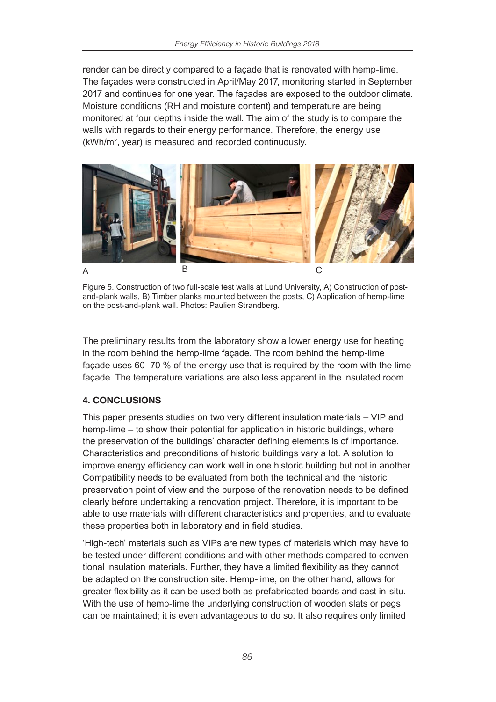render can be directly compared to a façade that is renovated with hemp-lime. The façades were constructed in April/May 2017, monitoring started in September 2017 and continues for one year. The façades are exposed to the outdoor climate. Moisture conditions (RH and moisture content) and temperature are being monitored at four depths inside the wall. The aim of the study is to compare the walls with regards to their energy performance. Therefore, the energy use (kWh/m2, year) is measured and recorded continuously.



Figure 5. Construction of two full-scale test walls at Lund University, A) Construction of postand-plank walls, B) Timber planks mounted between the posts, C) Application of hemp-lime on the post-and-plank wall. Photos: Paulien Strandberg.

The preliminary results from the laboratory show a lower energy use for heating in the room behind the hemp-lime façade. The room behind the hemp-lime façade uses 60–70 % of the energy use that is required by the room with the lime façade. The temperature variations are also less apparent in the insulated room.

# 4. CONCLUSIONS

This paper presents studies on two very different insulation materials – VIP and hemp-lime – to show their potential for application in historic buildings, where the preservation of the buildings' character defining elements is of importance. Characteristics and preconditions of historic buildings vary a lot. A solution to improve energy efficiency can work well in one historic building but not in another. Compatibility needs to be evaluated from both the technical and the historic preservation point of view and the purpose of the renovation needs to be defined clearly before undertaking a renovation project. Therefore, it is important to be able to use materials with different characteristics and properties, and to evaluate these properties both in laboratory and in field studies.

'High-tech' materials such as VIPs are new types of materials which may have to be tested under different conditions and with other methods compared to conventional insulation materials. Further, they have a limited flexibility as they cannot be adapted on the construction site. Hemp-lime, on the other hand, allows for greater flexibility as it can be used both as prefabricated boards and cast in-situ. With the use of hemp-lime the underlying construction of wooden slats or pegs can be maintained; it is even advantageous to do so. It also requires only limited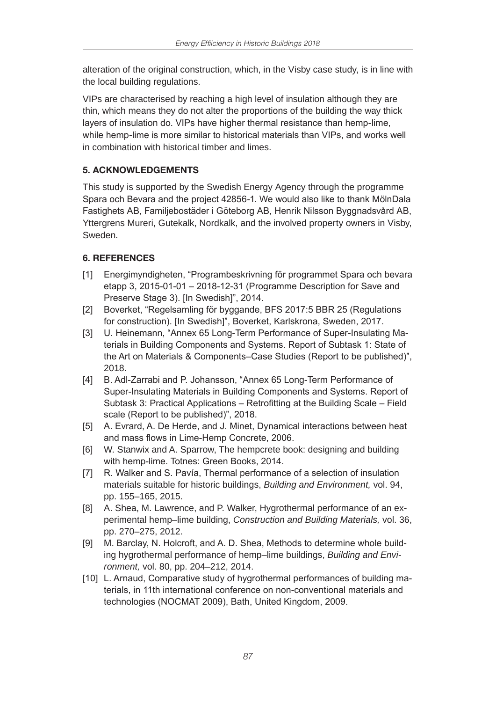alteration of the original construction, which, in the Visby case study, is in line with the local building regulations.

VIPs are characterised by reaching a high level of insulation although they are thin, which means they do not alter the proportions of the building the way thick layers of insulation do. VIPs have higher thermal resistance than hemp-lime, while hemp-lime is more similar to historical materials than VIPs, and works well in combination with historical timber and limes.

# 5. ACKNOWLEDGEMENTS

This study is supported by the Swedish Energy Agency through the programme Spara och Bevara and the project 42856-1. We would also like to thank MölnDala Fastighets AB, Familjebostäder i Göteborg AB, Henrik Nilsson Byggnadsvård AB, Yttergrens Mureri, Gutekalk, Nordkalk, and the involved property owners in Visby, Sweden.

# 6. REFERENCES

- [1] Energimyndigheten, "Programbeskrivning för programmet Spara och bevara etapp 3, 2015-01-01 – 2018-12-31 (Programme Description for Save and Preserve Stage 3). [In Swedish]", 2014.
- [2] Boverket, "Regelsamling för byggande, BFS 2017:5 BBR 25 (Regulations for construction). [In Swedish]", Boverket, Karlskrona, Sweden, 2017.
- [3] U. Heinemann, "Annex 65 Long-Term Performance of Super-Insulating Materials in Building Components and Systems. Report of Subtask 1: State of the Art on Materials & Components–Case Studies (Report to be published)", 2018.
- [4] B. Adl-Zarrabi and P. Johansson, "Annex 65 Long-Term Performance of Super-Insulating Materials in Building Components and Systems. Report of Subtask 3: Practical Applications – Retrofitting at the Building Scale – Field scale (Report to be published)", 2018.
- [5] A. Evrard, A. De Herde, and J. Minet, Dynamical interactions between heat and mass flows in Lime-Hemp Concrete, 2006.
- [6] W. Stanwix and A. Sparrow, The hempcrete book: designing and building with hemp-lime. Totnes: Green Books, 2014.
- [7] R. Walker and S. Pavía, Thermal performance of a selection of insulation materials suitable for historic buildings, *Building and Environment,* vol. 94, pp. 155–165, 2015.
- [8] A. Shea, M. Lawrence, and P. Walker, Hygrothermal performance of an experimental hemp–lime building, *Construction and Building Materials,* vol. 36, pp. 270–275, 2012.
- [9] M. Barclay, N. Holcroft, and A. D. Shea, Methods to determine whole building hygrothermal performance of hemp–lime buildings, *Building and Environment,* vol. 80, pp. 204–212, 2014.
- [10] L. Arnaud, Comparative study of hygrothermal performances of building materials, in 11th international conference on non-conventional materials and technologies (NOCMAT 2009), Bath, United Kingdom, 2009.